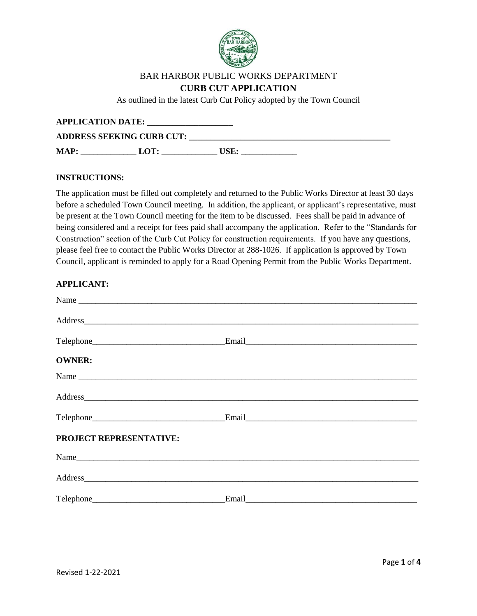

# BAR HARBOR PUBLIC WORKS DEPARTMENT

### **CURB CUT APPLICATION**

As outlined in the latest Curb Cut Policy adopted by the Town Council

| <b>APPLICATION DATE:</b>         |      |      |  |  |  |
|----------------------------------|------|------|--|--|--|
| <b>ADDRESS SEEKING CURB CUT:</b> |      |      |  |  |  |
| <b>MAP:</b>                      | LOT: | USE: |  |  |  |

#### **INSTRUCTIONS:**

The application must be filled out completely and returned to the Public Works Director at least 30 days before a scheduled Town Council meeting. In addition, the applicant, or applicant's representative, must be present at the Town Council meeting for the item to be discussed. Fees shall be paid in advance of being considered and a receipt for fees paid shall accompany the application. Refer to the "Standards for Construction" section of the Curb Cut Policy for construction requirements. If you have any questions, please feel free to contact the Public Works Director at 288-1026. If application is approved by Town Council, applicant is reminded to apply for a Road Opening Permit from the Public Works Department.

#### **APPLICANT:**

| <b>OWNER:</b>           |                                                                                                                                                                                                                               |
|-------------------------|-------------------------------------------------------------------------------------------------------------------------------------------------------------------------------------------------------------------------------|
|                         |                                                                                                                                                                                                                               |
|                         |                                                                                                                                                                                                                               |
|                         | Email Property of the Community of the Community of the Community of the Community of the Community of the Community of the Community of the Community of the Community of the Community of the Community of the Community of |
| PROJECT REPRESENTATIVE: |                                                                                                                                                                                                                               |
|                         |                                                                                                                                                                                                                               |
|                         |                                                                                                                                                                                                                               |
|                         |                                                                                                                                                                                                                               |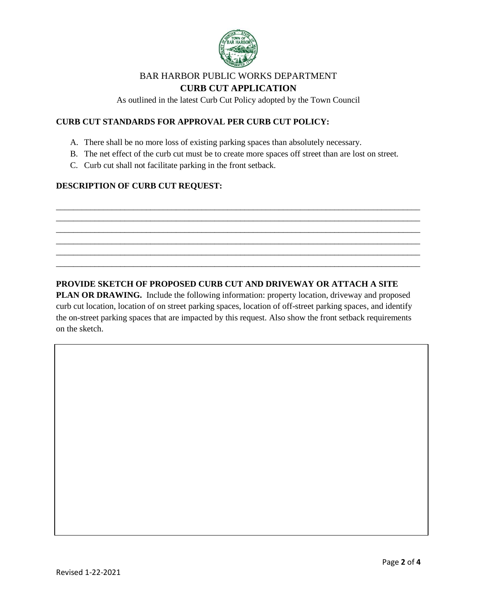

# BAR HARBOR PUBLIC WORKS DEPARTMENT

# **CURB CUT APPLICATION**

As outlined in the latest Curb Cut Policy adopted by the Town Council

# **CURB CUT STANDARDS FOR APPROVAL PER CURB CUT POLICY:**

- A. There shall be no more loss of existing parking spaces than absolutely necessary.
- B. The net effect of the curb cut must be to create more spaces off street than are lost on street.

\_\_\_\_\_\_\_\_\_\_\_\_\_\_\_\_\_\_\_\_\_\_\_\_\_\_\_\_\_\_\_\_\_\_\_\_\_\_\_\_\_\_\_\_\_\_\_\_\_\_\_\_\_\_\_\_\_\_\_\_\_\_\_\_\_\_\_\_\_\_\_\_\_\_\_\_\_\_\_\_\_\_\_\_\_ \_\_\_\_\_\_\_\_\_\_\_\_\_\_\_\_\_\_\_\_\_\_\_\_\_\_\_\_\_\_\_\_\_\_\_\_\_\_\_\_\_\_\_\_\_\_\_\_\_\_\_\_\_\_\_\_\_\_\_\_\_\_\_\_\_\_\_\_\_\_\_\_\_\_\_\_\_\_\_\_\_\_\_\_\_ \_\_\_\_\_\_\_\_\_\_\_\_\_\_\_\_\_\_\_\_\_\_\_\_\_\_\_\_\_\_\_\_\_\_\_\_\_\_\_\_\_\_\_\_\_\_\_\_\_\_\_\_\_\_\_\_\_\_\_\_\_\_\_\_\_\_\_\_\_\_\_\_\_\_\_\_\_\_\_\_\_\_\_\_\_ \_\_\_\_\_\_\_\_\_\_\_\_\_\_\_\_\_\_\_\_\_\_\_\_\_\_\_\_\_\_\_\_\_\_\_\_\_\_\_\_\_\_\_\_\_\_\_\_\_\_\_\_\_\_\_\_\_\_\_\_\_\_\_\_\_\_\_\_\_\_\_\_\_\_\_\_\_\_\_\_\_\_\_\_\_ \_\_\_\_\_\_\_\_\_\_\_\_\_\_\_\_\_\_\_\_\_\_\_\_\_\_\_\_\_\_\_\_\_\_\_\_\_\_\_\_\_\_\_\_\_\_\_\_\_\_\_\_\_\_\_\_\_\_\_\_\_\_\_\_\_\_\_\_\_\_\_\_\_\_\_\_\_\_\_\_\_\_\_\_\_ \_\_\_\_\_\_\_\_\_\_\_\_\_\_\_\_\_\_\_\_\_\_\_\_\_\_\_\_\_\_\_\_\_\_\_\_\_\_\_\_\_\_\_\_\_\_\_\_\_\_\_\_\_\_\_\_\_\_\_\_\_\_\_\_\_\_\_\_\_\_\_\_\_\_\_\_\_\_\_\_\_\_\_\_\_

C. Curb cut shall not facilitate parking in the front setback.

## **DESCRIPTION OF CURB CUT REQUEST:**

## **PROVIDE SKETCH OF PROPOSED CURB CUT AND DRIVEWAY OR ATTACH A SITE**

**PLAN OR DRAWING.** Include the following information: property location, driveway and proposed curb cut location, location of on street parking spaces, location of off-street parking spaces, and identify the on-street parking spaces that are impacted by this request. Also show the front setback requirements on the sketch.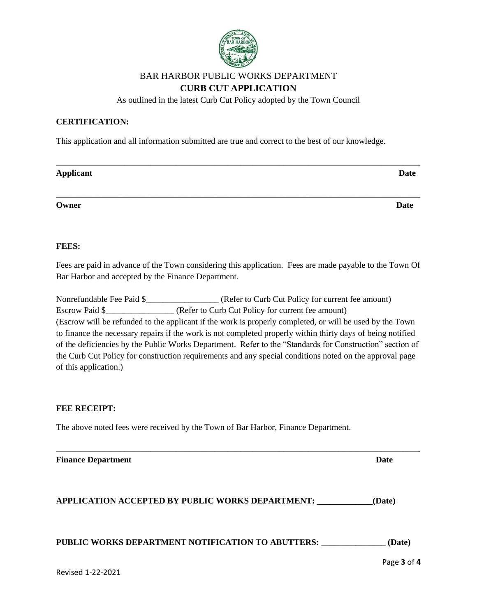

# BAR HARBOR PUBLIC WORKS DEPARTMENT **CURB CUT APPLICATION**

As outlined in the latest Curb Cut Policy adopted by the Town Council

### **CERTIFICATION:**

This application and all information submitted are true and correct to the best of our knowledge.

| Applicant | <b>Date</b> |
|-----------|-------------|
|           |             |
| Owner     | <b>Date</b> |
|           |             |

### **FEES:**

Fees are paid in advance of the Town considering this application. Fees are made payable to the Town Of Bar Harbor and accepted by the Finance Department.

| Nonrefundable Fee Paid \$ | (Refer to Curb Cut Policy for current fee amount)                                                           |
|---------------------------|-------------------------------------------------------------------------------------------------------------|
| Escrow Paid \$            | (Refer to Curb Cut Policy for current fee amount)                                                           |
|                           | (Escrow will be refunded to the applicant if the work is properly completed, or will be used by the Town    |
|                           | to finance the necessary repairs if the work is not completed properly within thirty days of being notified |
|                           | of the deficiencies by the Public Works Department. Refer to the "Standards for Construction" section of    |
|                           | the Curb Cut Policy for construction requirements and any special conditions noted on the approval page     |
| of this application.)     |                                                                                                             |

#### **FEE RECEIPT:**

The above noted fees were received by the Town of Bar Harbor, Finance Department.

| <b>Finance Department</b>                               | Date   |
|---------------------------------------------------------|--------|
| <b>APPLICATION ACCEPTED BY PUBLIC WORKS DEPARTMENT:</b> | (Date) |

# **PUBLIC WORKS DEPARTMENT NOTIFICATION TO ABUTTERS: \_\_\_\_\_\_\_\_\_\_\_\_\_\_\_ (Date)**